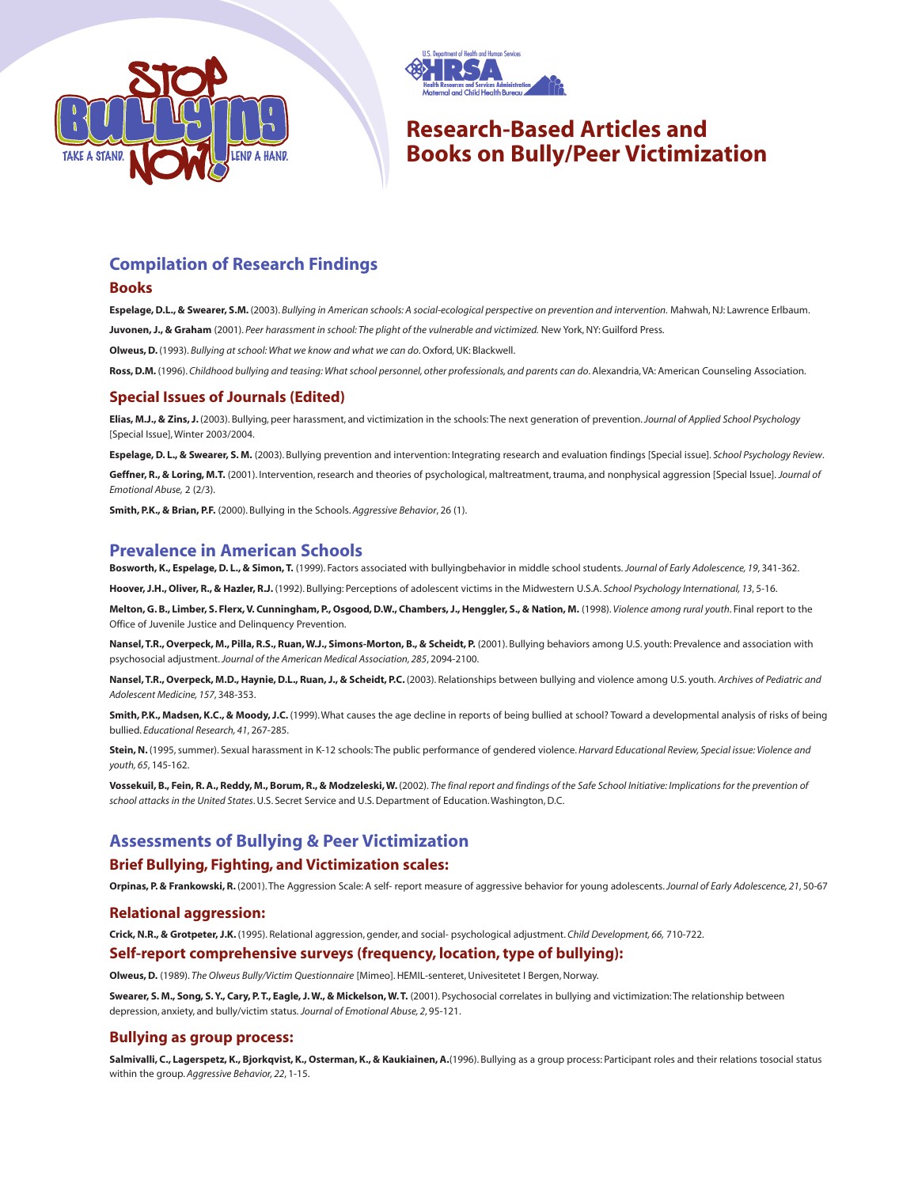



# **Research-Based Articles and Books on Bully/Peer Victimization**

## **Compilation of Research Findings**

#### **Books**

**Espelage, D.L., & Swearer, S.M.** (2003). *Bullying in American schools: A social-ecological perspective on prevention and intervention.* Mahwah, NJ: Lawrence Erlbaum. **Juvonen, J., & Graham** (2001). *Peer harassment in school: The plight of the vulnerable and victimized.* New York, NY: Guilford Press.

**Olweus, D.** (1993). *Bullying at school: What we know and what we can do*. Oxford, UK: Blackwell.

**Ross, D.M.** (1996). *Childhood bullying and teasing: What school personnel, other professionals, and parents can do*. Alexandria, VA: American Counseling Association.

## **Special Issues of Journals (Edited)**

**Elias, M.J., & Zins, J.** (2003). Bullying, peer harassment, and victimization in the schools: The next generation of prevention.*Journal of Applied School Psychology* [Special Issue], Winter 2003/2004.

**Espelage, D. L., & Swearer, S. M.** (2003). Bullying prevention and intervention: Integrating research and evaluation findings [Special issue]. *School Psychology Review*.

**Geffner, R., & Loring, M.T.** (2001). Intervention, research and theories of psychological, maltreatment, trauma, and nonphysical aggression [Special Issue]. *Journal of Emotional Abuse,* 2 (2/3).

**Smith, P.K., & Brian, P.F.** (2000). Bullying in the Schools. *Aggressive Behavior*, 26 (1).

## **Prevalence in American Schools**

**Bosworth, K., Espelage, D. L., & Simon, T.** (1999). Factors associated with bullyingbehavior in middle school students. *Journal of Early Adolescence, 19*, 341-362.

**Hoover, J.H., Oliver, R., & Hazler, R.J.** (1992). Bullying: Perceptions of adolescent victims in the Midwestern U.S.A. *School Psychology International, 13*, 5-16.

**Melton, G. B., Limber, S. Flerx, V. Cunningham, P., Osgood, D.W., Chambers, J., Henggler, S., & Nation, M.** (1998). *Violence among rural youth*. Final report to the Office of Juvenile Justice and Delinquency Prevention.

**Nansel, T.R., Overpeck, M., Pilla, R.S., Ruan, W.J., Simons-Morton, B., & Scheidt, P.** (2001). Bullying behaviors among U.S. youth: Prevalence and association with psychosocial adjustment.*Journal of the American Medical Association, 285*, 2094-2100.

**Nansel, T.R., Overpeck, M.D., Haynie, D.L., Ruan, J., & Scheidt, P.C.** (2003). Relationships between bullying and violence among U.S. youth. *Archives of Pediatric and Adolescent Medicine, 157*, 348-353.

**Smith, P.K., Madsen, K.C., & Moody, J.C.** (1999). What causes the age decline in reports of being bullied at school? Toward a developmental analysis of risks of being bullied. *Educational Research, 41*, 267-285.

**Stein, N.** (1995, summer). Sexual harassment in K-12 schools: The public performance of gendered violence. *Harvard Educational Review, Special issue: Violence and youth, 65*, 145-162.

**Vossekuil, B., Fein, R. A., Reddy, M., Borum, R., & Modzeleski, W.** (2002). *The final report and findings of the Safe School Initiative: Implications for the prevention of school attacks in the United States*. U.S. Secret Service and U.S. Department of Education. Washington, D.C.

## **Assessments of Bullying & Peer Victimization**

#### **Brief Bullying, Fighting, and Victimization scales:**

**Orpinas, P. & Frankowski, R.** (2001). The Aggression Scale: A self- report measure of aggressive behavior for young adolescents.*Journal of Early Adolescence, 21*, 50-67

#### **Relational aggression:**

**Crick, N.R., & Grotpeter, J.K.** (1995). Relational aggression, gender, and social- psychological adjustment. *Child Development, 66,* 710-722.

#### **Self-report comprehensive surveys (frequency, location, type of bullying):**

**Olweus, D.** (1989). *The Olweus Bully/Victim Questionnaire* [Mimeo]. HEMIL-senteret, Univesitetet I Bergen, Norway.

**Swearer, S. M., Song, S. Y., Cary, P. T., Eagle, J. W., & Mickelson, W. T.** (2001). Psychosocial correlates in bullying and victimization: The relationship between depression, anxiety, and bully/victim status. *Journal of Emotional Abuse, 2*, 95-121.

#### **Bullying as group process:**

**Salmivalli, C., Lagerspetz, K., Bjorkqvist, K., Osterman, K., & Kaukiainen, A.**(1996). Bullying as a group process: Participant roles and their relations tosocial status within the group. *Aggressive Behavior, 22*, 1-15.